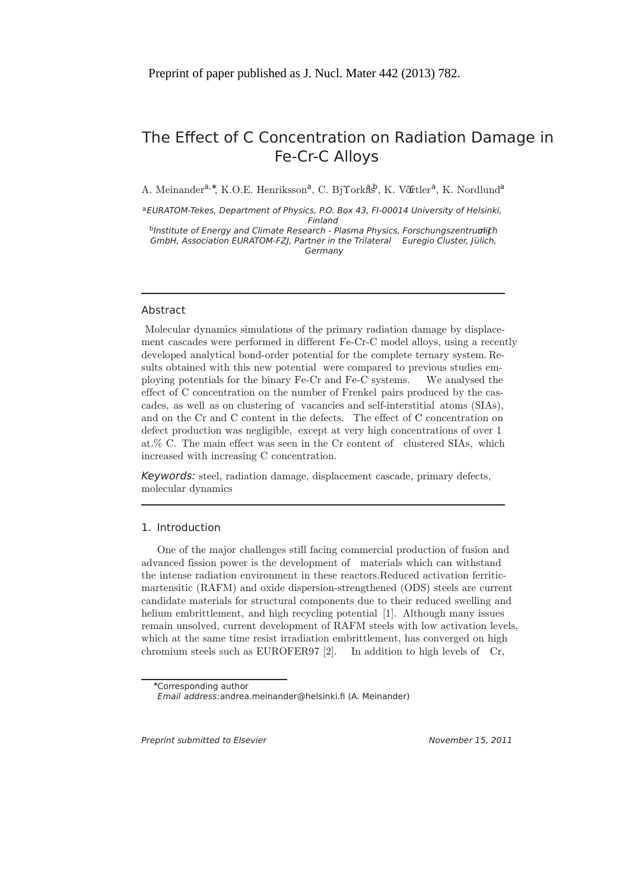# The Effect of C Concentration on Radiation Damage in Fe-Cr-C Alloys

A. Meinander<sup>a,∗</sup>, K.O.E. Henriksson<sup>a</sup>, C. Bj̃ rorkås<sup>b</sup>, K. Võrtler<sup>a</sup>, K. Nordlund<sup>a</sup>

aEURATOM-Tekes, Department of Physics, P.O. Box 43, FI-00014 University of Helsinki, Finland

bInstitute of Energy and Climate Research - Plasma Physics, Forschungszentrumlith GmbH, Association EURATOM-FZI, Partner in the Trilateral Euregio Cluster, Jülich, Germany

# Abstract

Molecular dynamics simulations of the primary radiation damage by displacement cascades were performed in different Fe-Cr-C model alloys, using a recently developed analytical bond-order potential for the complete ternary system. Results obtained with this new potential were compared to previous studies employing potentials for the binary Fe-Cr and Fe-C systems. We analysed the effect of C concentration on the number of Frenkel pairs produced by the cascades, as well as on clustering of vacancies and self-interstitial atoms (SIAs), and on the Cr and C content in the defects. The effect of C concentration on defect production was negligible, except at very high concentrations of over 1 at.% C. The main effect was seen in the Cr content of clustered SIAs, which increased with increasing C concentration.

Keywords: steel, radiation damage, displacement cascade, primary defects, molecular dynamics

# 1. Introduction

One of the major challenges still facing commercial production of fusion and advanced fission power is the development of materials which can withstand the intense radiation environment in these reactors.Reduced activation ferriticmartensitic (RAFM) and oxide dispersion-strengthened (ODS) steels are current candidate materials for structural components due to their reduced swelling and helium embrittlement, and high recycling potential [1]. Although many issues remain unsolved, current development of RAFM steels with low activation levels, which at the same time resist irradiation embrittlement, has converged on high chromium steels such as EUROFER97 [2]. In addition to high levels of Cr,

Preprint submitted to Elsevier November 15, 2011

<sup>∗</sup>Corresponding author

Email address:andrea.meinander@helsinki.f (A. Meinander)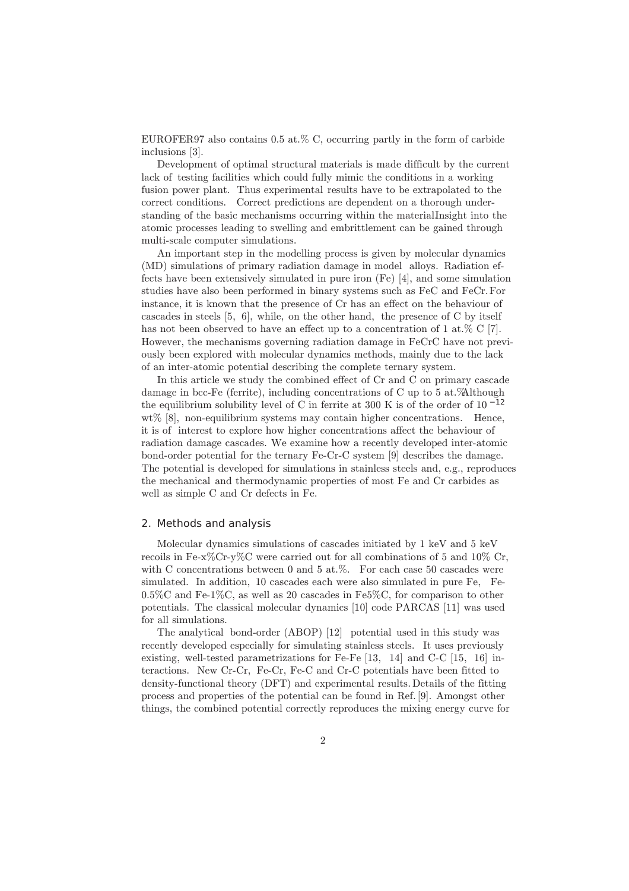EUROFER97 also contains  $0.5 \text{ at. } \%$  C, occurring partly in the form of carbide inclusions [3].

Development of optimal structural materials is made difficult by the current lack of testing facilities which could fully mimic the conditions in a working fusion power plant. Thus experimental results have to be extrapolated to the correct conditions. Correct predictions are dependent on a thorough understanding of the basic mechanisms occurring within the material.Insight into the atomic processes leading to swelling and embrittlement can be gained through multi-scale computer simulations.

An important step in the modelling process is given by molecular dynamics (MD) simulations of primary radiation damage in model alloys. Radiation effects have been extensively simulated in pure iron (Fe) [4], and some simulation studies have also been performed in binary systems such as FeC and FeCr.For instance, it is known that the presence of Cr has an effect on the behaviour of cascades in steels [5, 6], while, on the other hand, the presence of C by itself has not been observed to have an effect up to a concentration of 1 at.% C [7]. However, the mechanisms governing radiation damage in FeCrC have not previously been explored with molecular dynamics methods, mainly due to the lack of an inter-atomic potential describing the complete ternary system.

In this article we study the combined effect of Cr and C on primary cascade damage in bcc-Fe (ferrite), including concentrations of C up to  $5$  at. Although the equilibrium solubility level of C in ferrite at 300 K is of the order of  $10^{-12}$ wt%  $[8]$ , non-equilibrium systems may contain higher concentrations. Hence, it is of interest to explore how higher concentrations affect the behaviour of radiation damage cascades. We examine how a recently developed inter-atomic bond-order potential for the ternary Fe-Cr-C system [9] describes the damage. The potential is developed for simulations in stainless steels and, e.g., reproduces the mechanical and thermodynamic properties of most Fe and Cr carbides as well as simple C and Cr defects in Fe.

#### 2. Methods and analysis

Molecular dynamics simulations of cascades initiated by 1 keV and 5 keV recoils in Fe-x%Cr-y%C were carried out for all combinations of 5 and 10% Cr, with C concentrations between 0 and 5 at.%. For each case 50 cascades were simulated. In addition, 10 cascades each were also simulated in pure Fe, Fe-0.5%C and Fe-1%C, as well as 20 cascades in Fe5%C, for comparison to other potentials. The classical molecular dynamics [10] code PARCAS [11] was used for all simulations.

The analytical bond-order (ABOP) [12] potential used in this study was recently developed especially for simulating stainless steels. It uses previously existing, well-tested parametrizations for Fe-Fe [13, 14] and C-C [15, 16] interactions. New Cr-Cr, Fe-Cr, Fe-C and Cr-C potentials have been fitted to density-functional theory (DFT) and experimental results. Details of the fitting process and properties of the potential can be found in Ref. [9]. Amongst other things, the combined potential correctly reproduces the mixing energy curve for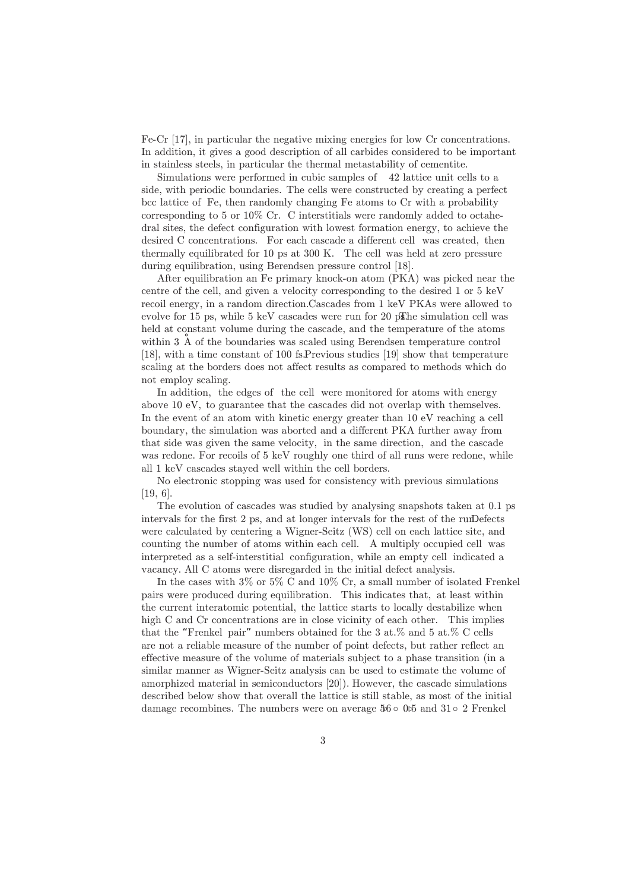Fe-Cr [17], in particular the negative mixing energies for low Cr concentrations. In addition, it gives a good description of all carbides considered to be important in stainless steels, in particular the thermal metastability of cementite.

Simulations were performed in cubic samples of 42 lattice unit cells to a side, with periodic boundaries. The cells were constructed by creating a perfect bcc lattice of Fe, then randomly changing Fe atoms to Cr with a probability corresponding to 5 or 10% Cr. C interstitials were randomly added to octahedral sites, the defect configuration with lowest formation energy, to achieve the desired C concentrations. For each cascade a different cell was created, then thermally equilibrated for 10 ps at 300 K. The cell was held at zero pressure during equilibration, using Berendsen pressure control [18].

After equilibration an Fe primary knock-on atom (PKA) was picked near the centre of the cell, and given a velocity corresponding to the desired 1 or 5 keV recoil energy, in a random direction.Cascades from 1 keV PKAs were allowed to evolve for 15 ps, while 5 keV cascades were run for 20 p $\mathbb{R}$  he simulation cell was held at constant volume during the cascade, and the temperature of the atoms within 3 Å of the boundaries was scaled using Berendsen temperature control [18], with a time constant of 100 fs.Previous studies [19] show that temperature scaling at the borders does not affect results as compared to methods which do not employ scaling.

In addition, the edges of the cell were monitored for atoms with energy above 10 eV, to guarantee that the cascades did not overlap with themselves. In the event of an atom with kinetic energy greater than 10 eV reaching a cell boundary, the simulation was aborted and a different PKA further away from that side was given the same velocity, in the same direction, and the cascade was redone. For recoils of 5 keV roughly one third of all runs were redone, while all 1 keV cascades stayed well within the cell borders.

No electronic stopping was used for consistency with previous simulations [19, 6].

The evolution of cascades was studied by analysing snapshots taken at 0.1 ps intervals for the first  $2$  ps, and at longer intervals for the rest of the run Defects were calculated by centering a Wigner-Seitz (WS) cell on each lattice site, and counting the number of atoms within each cell. A multiply occupied cell was interpreted as a self-interstitial configuration, while an empty cell indicated a vacancy. All C atoms were disregarded in the initial defect analysis.

In the cases with  $3\%$  or  $5\%$  C and  $10\%$  Cr, a small number of isolated Frenkel pairs were produced during equilibration. This indicates that, at least within the current interatomic potential, the lattice starts to locally destabilize when high C and Cr concentrations are in close vicinity of each other. This implies that the "Frenkel pair" numbers obtained for the 3 at.% and 5 at.% C cells are not a reliable measure of the number of point defects, but rather reflect an effective measure of the volume of materials subject to a phase transition (in a similar manner as Wigner-Seitz analysis can be used to estimate the volume of amorphized material in semiconductors [20]). However, the cascade simulations described below show that overall the lattice is still stable, as most of the initial damage recombines. The numbers were on average  $56 \circ 0.5$  and  $31 \circ 2$  Frenkel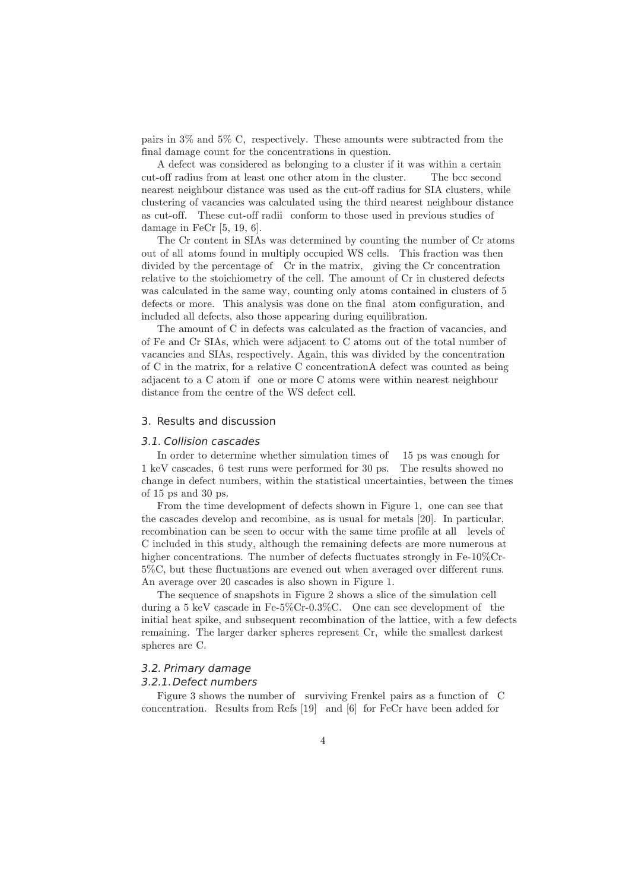pairs in 3% and 5% C, respectively. These amounts were subtracted from the final damage count for the concentrations in question.

A defect was considered as belonging to a cluster if it was within a certain cut-off radius from at least one other atom in the cluster. The bcc second nearest neighbour distance was used as the cut-off radius for SIA clusters, while clustering of vacancies was calculated using the third nearest neighbour distance as cut-off. These cut-off radii conform to those used in previous studies of damage in FeCr [5, 19, 6].

The Cr content in SIAs was determined by counting the number of Cr atoms out of all atoms found in multiply occupied WS cells. This fraction was then divided by the percentage of Cr in the matrix, giving the Cr concentration relative to the stoichiometry of the cell. The amount of Cr in clustered defects was calculated in the same way, counting only atoms contained in clusters of 5 defects or more. This analysis was done on the final atom configuration, and included all defects, also those appearing during equilibration.

The amount of C in defects was calculated as the fraction of vacancies, and of Fe and Cr SIAs, which were adjacent to C atoms out of the total number of vacancies and SIAs, respectively. Again, this was divided by the concentration of C in the matrix, for a relative C concentration.A defect was counted as being adjacent to a C atom if one or more C atoms were within nearest neighbour distance from the centre of the WS defect cell.

# 3. Results and discussion

## 3.1. Collision cascades

In order to determine whether simulation times of 15 ps was enough for 1 keV cascades, 6 test runs were performed for 30 ps. The results showed no change in defect numbers, within the statistical uncertainties, between the times of 15 ps and 30 ps.

From the time development of defects shown in Figure 1, one can see that the cascades develop and recombine, as is usual for metals [20]. In particular, recombination can be seen to occur with the same time profile at all levels of C included in this study, although the remaining defects are more numerous at higher concentrations. The number of defects fluctuates strongly in Fe-10%Cr-5%C, but these fluctuations are evened out when averaged over different runs. An average over 20 cascades is also shown in Figure 1.

The sequence of snapshots in Figure 2 shows a slice of the simulation cell during a 5 keV cascade in Fe-5%Cr-0.3%C. One can see development of the initial heat spike, and subsequent recombination of the lattice, with a few defects remaining. The larger darker spheres represent Cr, while the smallest darkest spheres are C.

## 3.2. Primary damage

#### 3.2.1.Defect numbers

Figure 3 shows the number of surviving Frenkel pairs as a function of C concentration. Results from Refs [19] and [6] for FeCr have been added for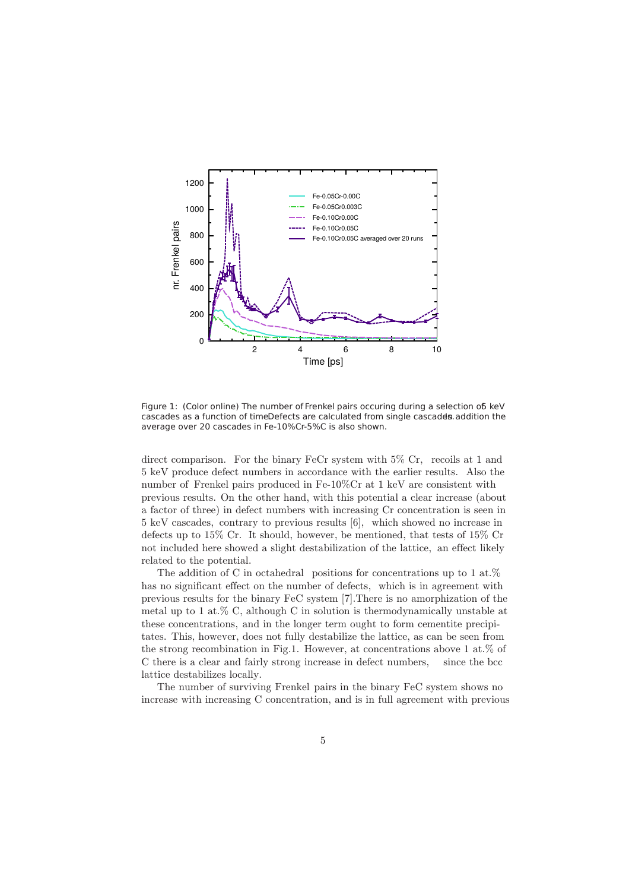

Figure 1: (Color online) The number of Frenkel pairs occuring during a selection of keV cascades as a function of timeDefects are calculated from single cascades addition the average over 20 cascades in Fe-10%Cr-5%C is also shown.

direct comparison. For the binary FeCr system with 5% Cr, recoils at 1 and 5 keV produce defect numbers in accordance with the earlier results. Also the number of Frenkel pairs produced in Fe-10%Cr at 1 keV are consistent with previous results. On the other hand, with this potential a clear increase (about a factor of three) in defect numbers with increasing Cr concentration is seen in 5 keV cascades, contrary to previous results [6], which showed no increase in defects up to 15% Cr. It should, however, be mentioned, that tests of 15% Cr not included here showed a slight destabilization of the lattice, an effect likely related to the potential.

The addition of C in octahedral positions for concentrations up to 1 at. $%$ has no significant effect on the number of defects, which is in agreement with previous results for the binary FeC system [7].There is no amorphization of the metal up to 1 at.% C, although C in solution is thermodynamically unstable at these concentrations, and in the longer term ought to form cementite precipitates. This, however, does not fully destabilize the lattice, as can be seen from the strong recombination in Fig.1. However, at concentrations above 1 at.% of C there is a clear and fairly strong increase in defect numbers, since the bcc lattice destabilizes locally.

The number of surviving Frenkel pairs in the binary FeC system shows no increase with increasing C concentration, and is in full agreement with previous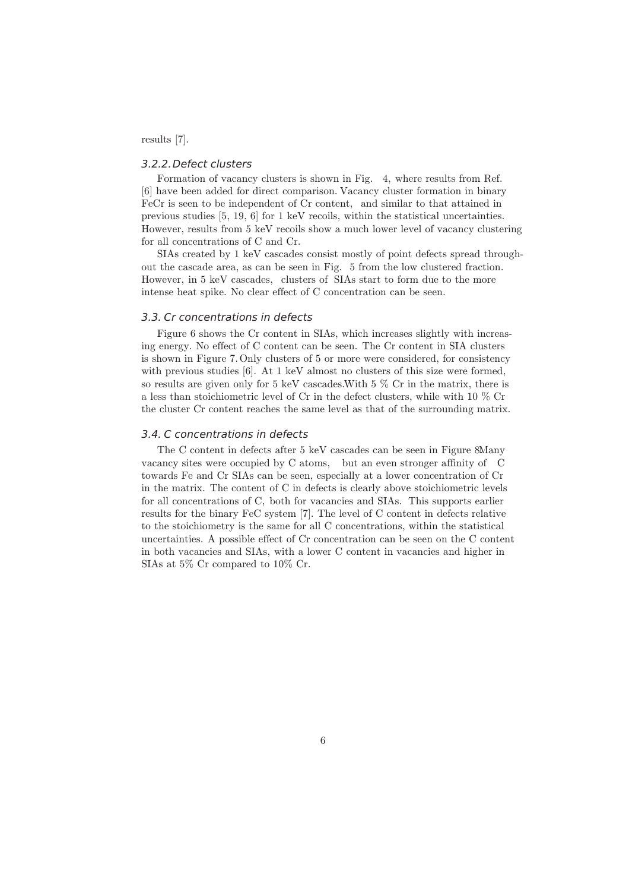results [7].

## 3.2.2.Defect clusters

Formation of vacancy clusters is shown in Fig. 4, where results from Ref. [6] have been added for direct comparison. Vacancy cluster formation in binary FeCr is seen to be independent of Cr content, and similar to that attained in previous studies [5, 19, 6] for 1 keV recoils, within the statistical uncertainties. However, results from 5 keV recoils show a much lower level of vacancy clustering for all concentrations of C and Cr.

SIAs created by 1 keV cascades consist mostly of point defects spread throughout the cascade area, as can be seen in Fig. 5 from the low clustered fraction. However, in 5 keV cascades, clusters of SIAs start to form due to the more intense heat spike. No clear effect of C concentration can be seen.

## 3.3. Cr concentrations in defects

Figure 6 shows the Cr content in SIAs, which increases slightly with increasing energy. No effect of C content can be seen. The Cr content in SIA clusters is shown in Figure 7.Only clusters of 5 or more were considered, for consistency with previous studies [6]. At 1 keV almost no clusters of this size were formed, so results are given only for 5 keV cascades. With  $5\%$  Cr in the matrix, there is a less than stoichiometric level of Cr in the defect clusters, while with 10 % Cr the cluster Cr content reaches the same level as that of the surrounding matrix.

# 3.4. C concentrations in defects

The C content in defects after 5 keV cascades can be seen in Figure 8Many vacancy sites were occupied by C atoms, but an even stronger affinity of C towards Fe and Cr SIAs can be seen, especially at a lower concentration of Cr in the matrix. The content of C in defects is clearly above stoichiometric levels for all concentrations of C, both for vacancies and SIAs. This supports earlier results for the binary FeC system [7]. The level of C content in defects relative to the stoichiometry is the same for all C concentrations, within the statistical uncertainties. A possible effect of Cr concentration can be seen on the C content in both vacancies and SIAs, with a lower C content in vacancies and higher in SIAs at 5% Cr compared to 10% Cr.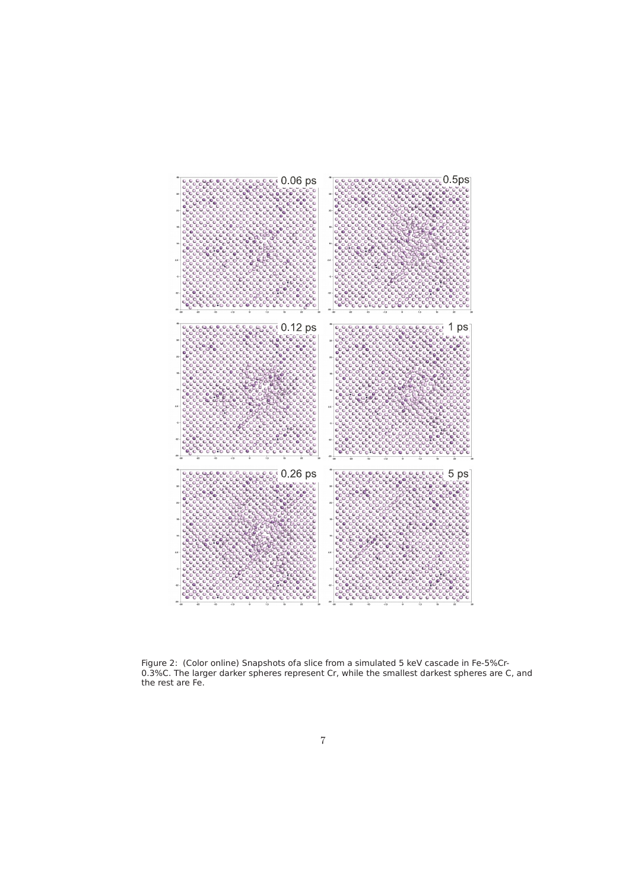

Figure 2: (Color online) Snapshots ofa slice from a simulated 5 keV cascade in Fe-5%Cr-0.3%C. The larger darker spheres represent Cr, while the smallest darkest spheres are C, and the rest are Fe.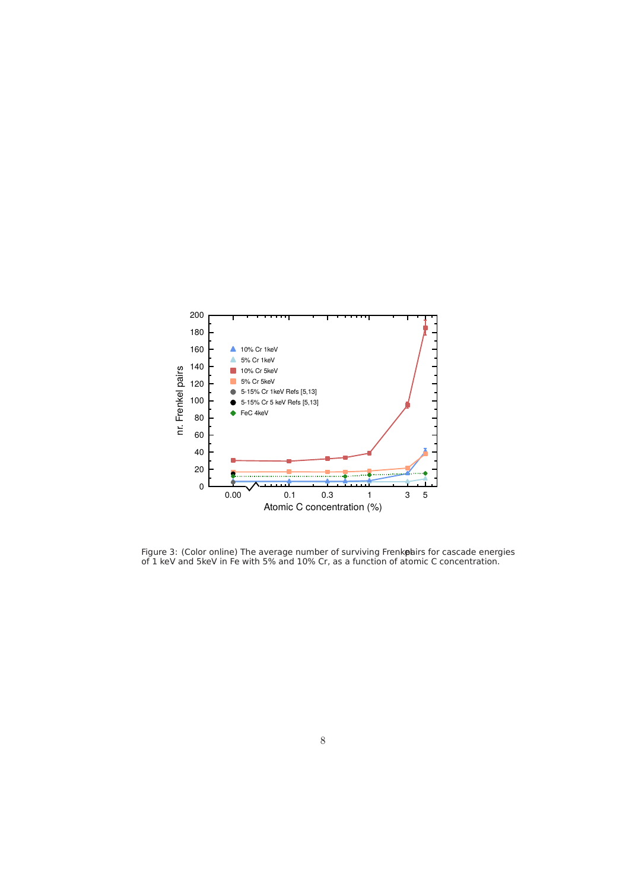

Figure 3: (Color online) The average number of surviving Frenkobirs for cascade energies of 1 keV and 5keV in Fe with 5% and 10% Cr, as a function of atomic C concentration.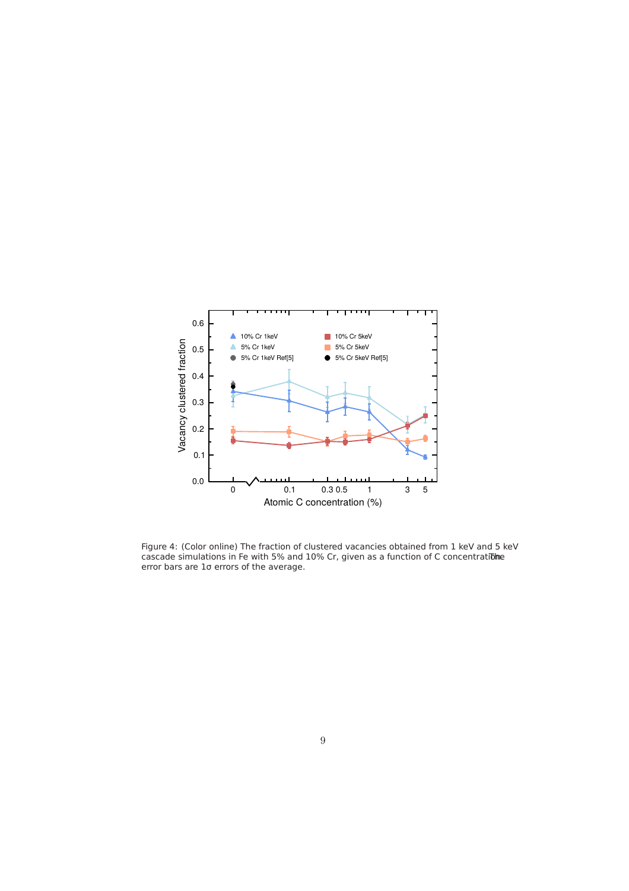

Figure 4: (Color online) The fraction of clustered vacancies obtained from 1 keV and 5 keV cascade simulations in Fe with 5% and  $10\%$  Cr, given as a function of C concentration. error bars are 1σ errors of the average.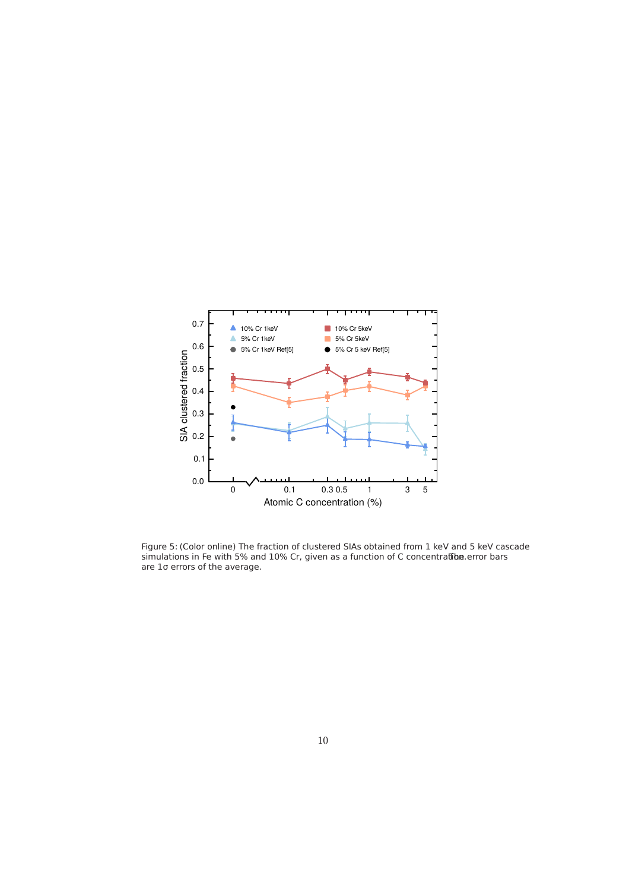

Figure 5: (Color online) The fraction of clustered SIAs obtained from 1 keV and 5 keV cascade simulations in Fe with 5% and 10% Cr, given as a function of C concentratiba.error bars are 1σ errors of the average.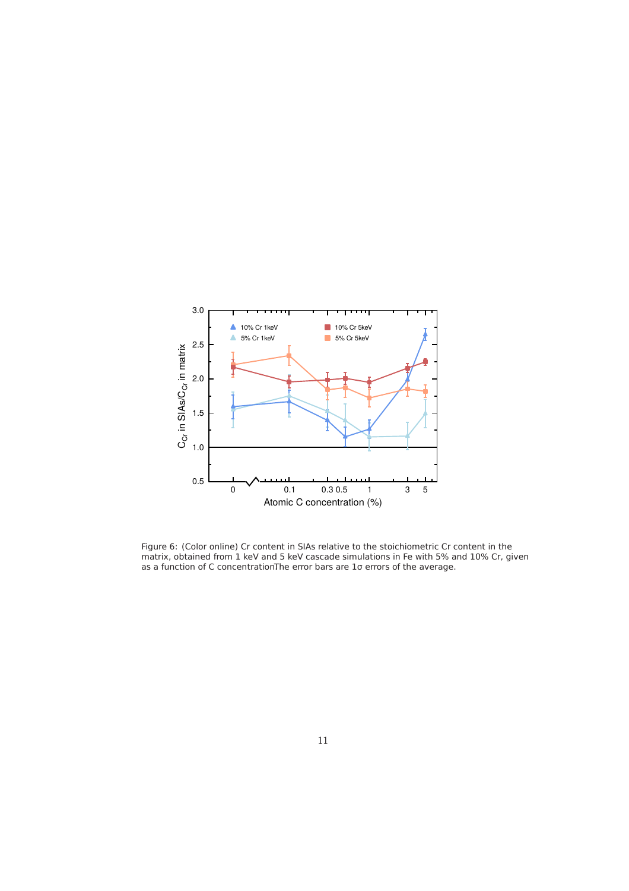

Figure 6: (Color online) Cr content in SIAs relative to the stoichiometric Cr content in the matrix, obtained from 1 keV and 5 keV cascade simulations in Fe with 5% and 10% Cr, given as a function of C concentrationThe error bars are 1o errors of the average.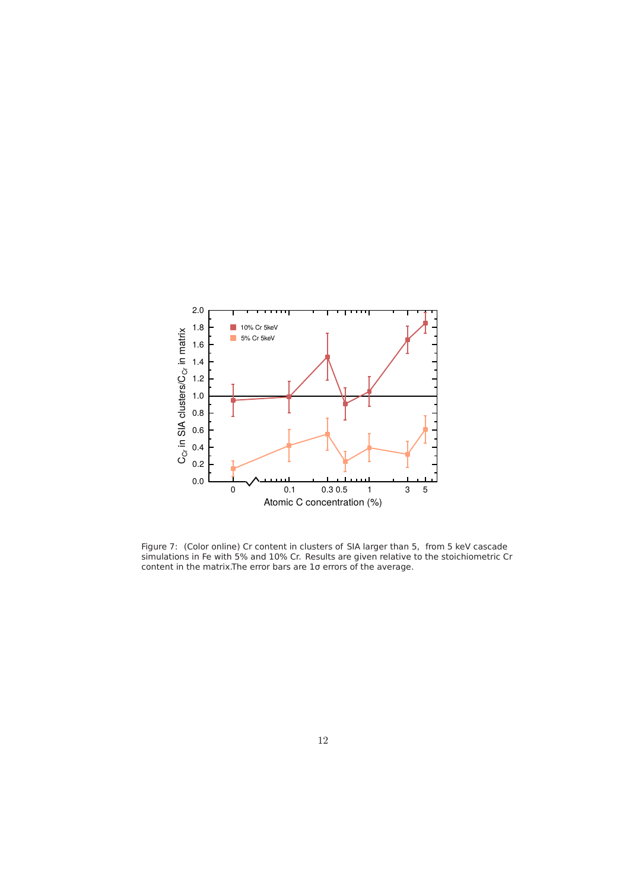

Figure 7: (Color online) Cr content in clusters of SIA larger than 5, from 5 keV cascade simulations in Fe with 5% and 10% Cr. Results are given relative to the stoichiometric Cr content in the matrix.The error bars are 1σ errors of the average.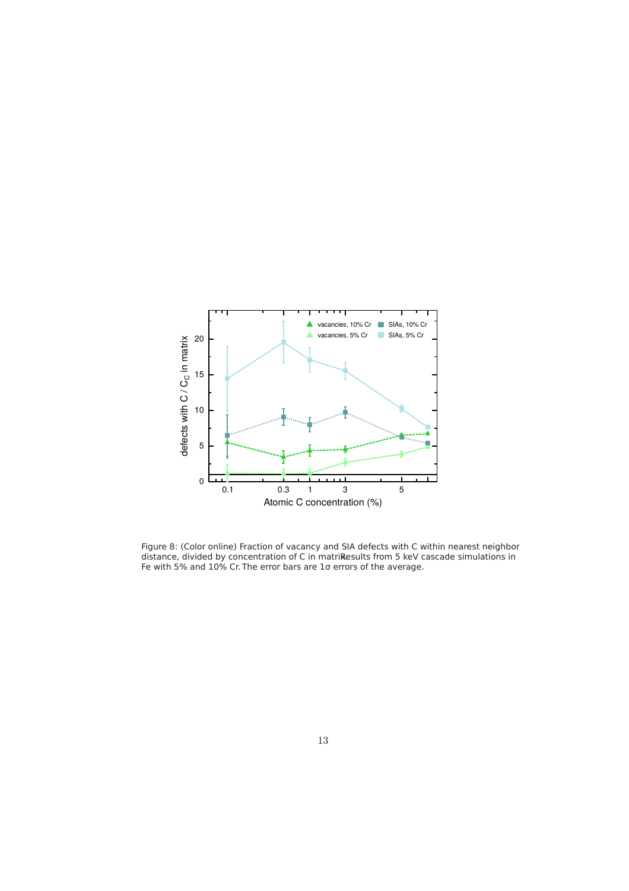

Figure 8: (Color online) Fraction of vacancy and SIA defects with C within nearest neighbor distance, divided by concentration of C in matrikesults from 5 keV cascade simulations in Fe with 5% and 10% Cr. The error bars are 1σ errors of the average.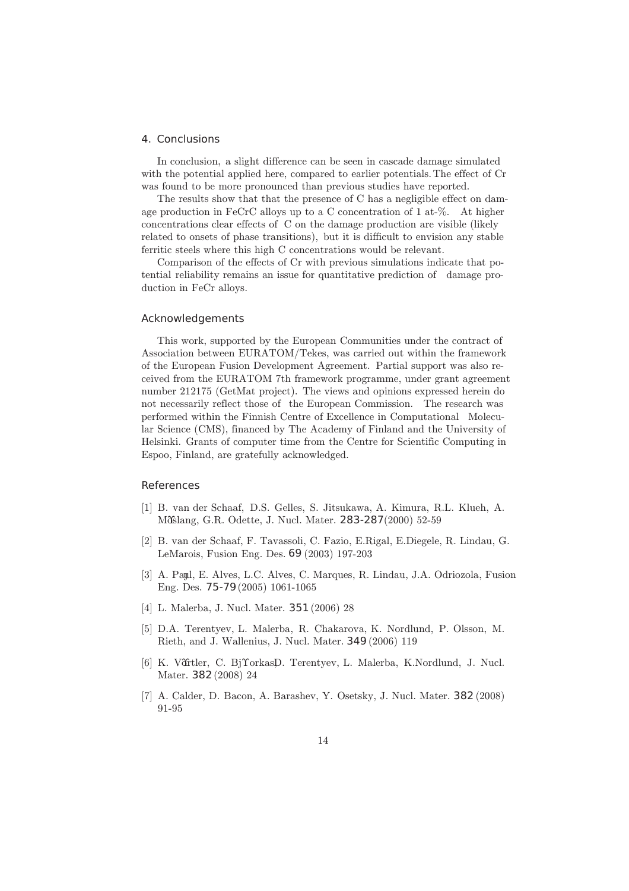#### 4. Conclusions

In conclusion, a slight difference can be seen in cascade damage simulated with the potential applied here, compared to earlier potentials.The effect of Cr was found to be more pronounced than previous studies have reported.

The results show that that the presence of C has a negligible effect on damage production in FeCrC alloys up to a C concentration of 1 at-%. At higher concentrations clear effects of C on the damage production are visible (likely related to onsets of phase transitions), but it is difficult to envision any stable ferritic steels where this high C concentrations would be relevant.

Comparison of the effects of Cr with previous simulations indicate that potential reliability remains an issue for quantitative prediction of damage production in FeCr alloys.

# Acknowledgements

This work, supported by the European Communities under the contract of Association between EURATOM/Tekes, was carried out within the framework of the European Fusion Development Agreement. Partial support was also received from the EURATOM 7th framework programme, under grant agreement number 212175 (GetMat project). The views and opinions expressed herein do not necessarily reflect those of the European Commission. The research was performed within the Finnish Centre of Excellence in Computational Molecular Science (CMS), financed by The Academy of Finland and the University of Helsinki. Grants of computer time from the Centre for Scientific Computing in Espoo, Finland, are gratefully acknowledged.

## References

- [1] B. van der Schaaf, D.S. Gelles, S. Jitsukawa, A. Kimura, R.L. Klueh, A. Mislang, G.R. Odette, J. Nucl. Mater. 283-287(2000) 52-59
- [2] B. van der Schaaf, F. Tavassoli, C. Fazio, E.Rigal, E.Diegele, R. Lindau, G. LeMarois, Fusion Eng. Des. 69 (2003) 197-203
- [3] A. Payl, E. Alves, L.C. Alves, C. Marques, R. Lindau, J.A. Odriozola, Fusion Eng. Des. 75-79(2005) 1061-1065
- [4] L. Malerba, J. Nucl. Mater. 351(2006) 28
- [5] D.A. Terentyev, L. Malerba, R. Chakarova, K. Nordlund, P. Olsson, M. Rieth, and J. Wallenius, J. Nucl. Mater. 349(2006) 119
- [6] K. Vårtler, C. Bj $\Upsilon$ orkas $D$ . Terentyev, L. Malerba, K.Nordlund, J. Nucl. Mater. 382(2008) 24
- [7] A. Calder, D. Bacon, A. Barashev, Y. Osetsky, J. Nucl. Mater. 382 (2008) 91-95